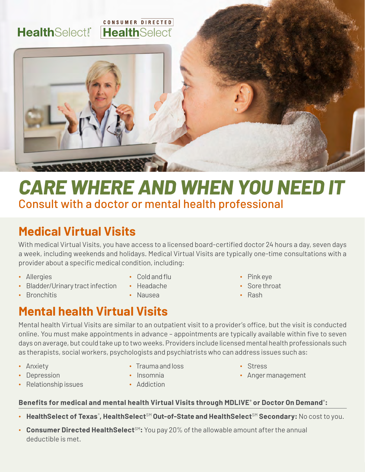#### CONSUMER DIRECTED **HealthSelect! HealthSelect**



# *CARE WHERE AND WHEN YOU NEED IT* Consult with a doctor or mental health professional

## **Medical Virtual Visits**

With medical Virtual Visits, you have access to a licensed board-certified doctor 24 hours a day, seven days a week, including weekends and holidays. Medical Virtual Visits are typically one-time consultations with a provider about a specific medical condition, including:

∙ Allergies

∙ Bronchitis

- ∙ Bladder/Urinary tract infection
- ∙ Cold and flu
- ∙ Headache
- ∙ Nausea
- ∙ Pink eye
- ∙ Sore throat
- ∙ Rash

## **Mental health Virtual Visits**

Mental health Virtual Visits are similar to an outpatient visit to a provider's office, but the visit is conducted online. You must make appointments in advance – appointments are typically available within five to seven days on average, but could take up to two weeks. Providers include licensed mental health professionals such as therapists, social workers, psychologists and psychiatrists who can address issues such as:

∙ Anxiety

∙ Depression

∙ Trauma and loss

- ∙ Stress
- ∙ Anger management
- ∙ Relationship issues
- ∙ Insomnia ∙ Addiction

#### **Benefits for medical and mental health Virtual Visits through MDLIVE® or Doctor On Demand® :**

- HealthSelect of Texas®, HealthSelect<sup>sM</sup> Out-of-State and HealthSelect<sup>sM</sup> Secondary: No cost to you.
- Consumer Directed HealthSelect<sup>SM</sup>: You pay 20% of the allowable amount after the annual deductible is met.